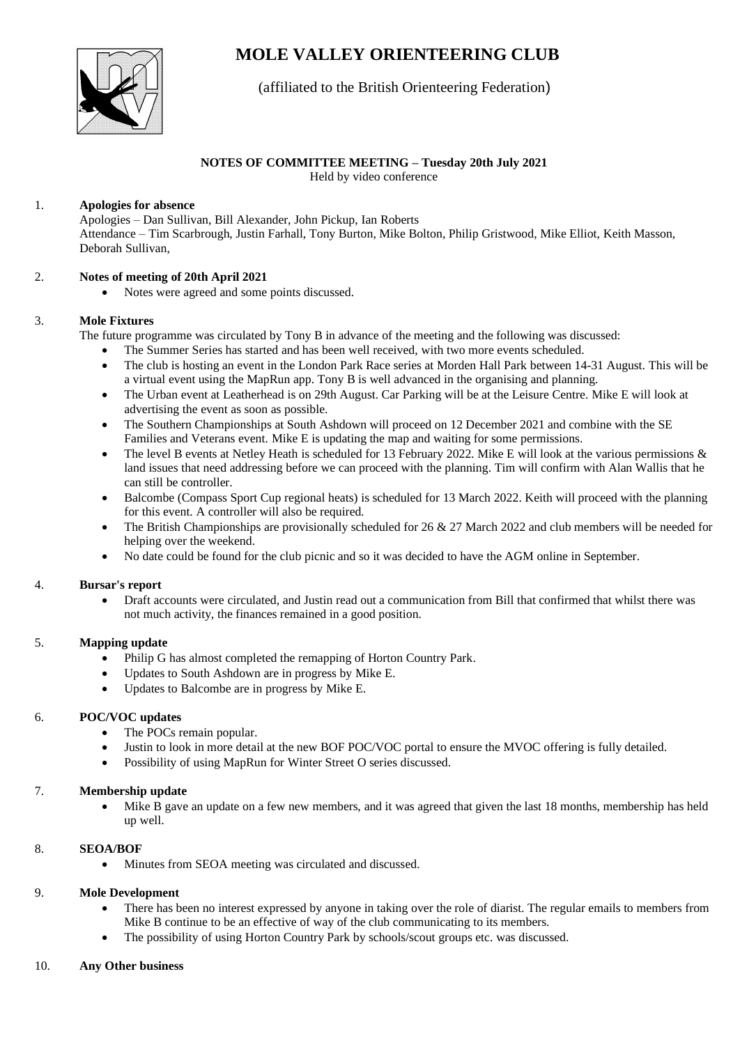# **MOLE VALLEY ORIENTEERING CLUB**



# (affiliated to the British Orienteering Federation)

## **NOTES OF COMMITTEE MEETING – Tuesday 20th July 2021**

Held by video conference

#### 1. **Apologies for absence**

Apologies – Dan Sullivan, Bill Alexander, John Pickup, Ian Roberts Attendance – Tim Scarbrough, Justin Farhall, Tony Burton, Mike Bolton, Philip Gristwood, Mike Elliot, Keith Masson, Deborah Sullivan,

#### 2. **Notes of meeting of 20th April 2021**

• Notes were agreed and some points discussed.

### 3. **Mole Fixtures**

The future programme was circulated by Tony B in advance of the meeting and the following was discussed:

- The Summer Series has started and has been well received, with two more events scheduled.
- The club is hosting an event in the London Park Race series at Morden Hall Park between 14-31 August. This will be a virtual event using the MapRun app. Tony B is well advanced in the organising and planning.
- The Urban event at Leatherhead is on 29th August. Car Parking will be at the Leisure Centre. Mike E will look at advertising the event as soon as possible.
- The Southern Championships at South Ashdown will proceed on 12 December 2021 and combine with the SE Families and Veterans event. Mike E is updating the map and waiting for some permissions.
- The level B events at Netley Heath is scheduled for 13 February 2022. Mike E will look at the various permissions & land issues that need addressing before we can proceed with the planning. Tim will confirm with Alan Wallis that he can still be controller.
- Balcombe (Compass Sport Cup regional heats) is scheduled for 13 March 2022. Keith will proceed with the planning for this event. A controller will also be required.
- The British Championships are provisionally scheduled for  $26 \& 27$  March 2022 and club members will be needed for helping over the weekend.
- No date could be found for the club picnic and so it was decided to have the AGM online in September.

#### 4. **Bursar's report**

• Draft accounts were circulated, and Justin read out a communication from Bill that confirmed that whilst there was not much activity, the finances remained in a good position.

#### 5. **Mapping update**

- Philip G has almost completed the remapping of Horton Country Park.
- Updates to South Ashdown are in progress by Mike E.
- Updates to Balcombe are in progress by Mike E.

## 6. **POC/VOC updates**

- The POCs remain popular.
- Justin to look in more detail at the new BOF POC/VOC portal to ensure the MVOC offering is fully detailed.
- Possibility of using MapRun for Winter Street O series discussed.

#### 7. **Membership update**

Mike B gave an update on a few new members, and it was agreed that given the last 18 months, membership has held up well.

#### 8. **SEOA/BOF**

• Minutes from SEOA meeting was circulated and discussed.

#### 9. **Mole Development**

- There has been no interest expressed by anyone in taking over the role of diarist. The regular emails to members from Mike B continue to be an effective of way of the club communicating to its members.
- The possibility of using Horton Country Park by schools/scout groups etc. was discussed.

#### 10. **Any Other business**